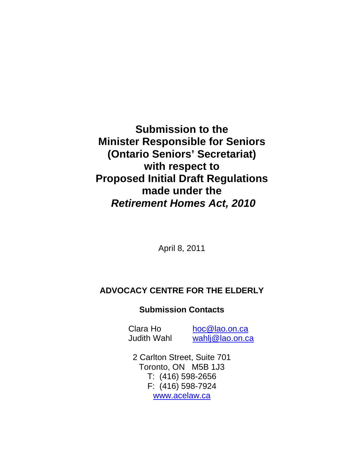**Submission to the Minister Responsible for Seniors (Ontario Seniors' Secretariat) with respect to Proposed Initial Draft Regulations made under the Retirement Homes Act, 2010**

April 8, 2011

# **ADVOCACY CENTRE FOR THE ELDERLY**

# **Submission Contacts**

Clara Ho hoc@lao.on.ca Judith Wahl wahlj@lao.on.ca

2 Carlton Street, Suite 701 Toronto, ON M5B 1J3 T: (416) 598-2656 F: (416) 598-7924 www.acelaw.ca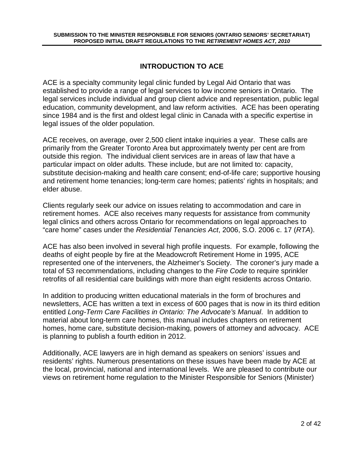# **INTRODUCTION TO ACE**

ACE is a specialty community legal clinic funded by Legal Aid Ontario that was established to provide a range of legal services to low income seniors in Ontario. The legal services include individual and group client advice and representation, public legal education, community development, and law reform activities. ACE has been operating since 1984 and is the first and oldest legal clinic in Canada with a specific expertise in legal issues of the older population.

ACE receives, on average, over 2,500 client intake inquiries a year. These calls are primarily from the Greater Toronto Area but approximately twenty per cent are from outside this region. The individual client services are in areas of law that have a particular impact on older adults. These include, but are not limited to: capacity, substitute decision-making and health care consent; end-of-life care; supportive housing and retirement home tenancies; long-term care homes; patients' rights in hospitals; and elder abuse.

Clients regularly seek our advice on issues relating to accommodation and care in retirement homes. ACE also receives many requests for assistance from community legal clinics and others across Ontario for recommendations on legal approaches to "care home" cases under the Residential Tenancies Act, 2006, S.O. 2006 c. 17 (RTA).

ACE has also been involved in several high profile inquests. For example, following the deaths of eight people by fire at the Meadowcroft Retirement Home in 1995, ACE represented one of the interveners, the Alzheimer's Society. The coroner's jury made a total of 53 recommendations, including changes to the Fire Code to require sprinkler retrofits of all residential care buildings with more than eight residents across Ontario.

In addition to producing written educational materials in the form of brochures and newsletters, ACE has written a text in excess of 600 pages that is now in its third edition entitled Long-Term Care Facilities in Ontario: The Advocate's Manual. In addition to material about long-term care homes, this manual includes chapters on retirement homes, home care, substitute decision-making, powers of attorney and advocacy. ACE is planning to publish a fourth edition in 2012.

Additionally, ACE lawyers are in high demand as speakers on seniors' issues and residents' rights. Numerous presentations on these issues have been made by ACE at the local, provincial, national and international levels. We are pleased to contribute our views on retirement home regulation to the Minister Responsible for Seniors (Minister)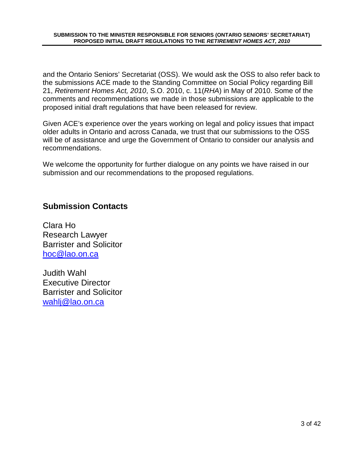and the Ontario Seniors' Secretariat (OSS). We would ask the OSS to also refer back to the submissions ACE made to the Standing Committee on Social Policy regarding Bill 21, Retirement Homes Act, 2010, S.O. 2010, c. 11(RHA) in May of 2010. Some of the comments and recommendations we made in those submissions are applicable to the proposed initial draft regulations that have been released for review.

Given ACE's experience over the years working on legal and policy issues that impact older adults in Ontario and across Canada, we trust that our submissions to the OSS will be of assistance and urge the Government of Ontario to consider our analysis and recommendations.

We welcome the opportunity for further dialogue on any points we have raised in our submission and our recommendations to the proposed regulations.

# **Submission Contacts**

Clara Ho Research Lawyer Barrister and Solicitor hoc@lao.on.ca

Judith Wahl Executive Director Barrister and Solicitor wahlj@lao.on.ca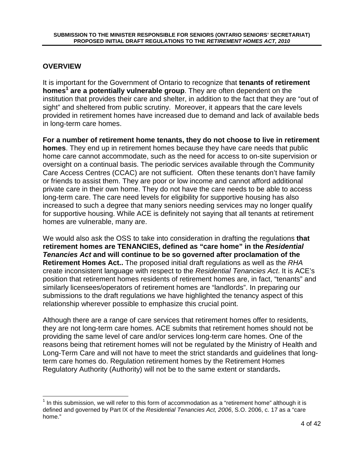### **OVERVIEW**

It is important for the Government of Ontario to recognize that **tenants of retirement homes<sup>1</sup> are a potentially vulnerable group**. They are often dependent on the institution that provides their care and shelter, in addition to the fact that they are "out of sight" and sheltered from public scrutiny. Moreover, it appears that the care levels provided in retirement homes have increased due to demand and lack of available beds in long-term care homes.

**For a number of retirement home tenants, they do not choose to live in retirement homes**. They end up in retirement homes because they have care needs that public home care cannot accommodate, such as the need for access to on-site supervision or oversight on a continual basis. The periodic services available through the Community Care Access Centres (CCAC) are not sufficient. Often these tenants don't have family or friends to assist them. They are poor or low income and cannot afford additional private care in their own home. They do not have the care needs to be able to access long-term care. The care need levels for eligibility for supportive housing has also increased to such a degree that many seniors needing services may no longer qualify for supportive housing. While ACE is definitely not saying that all tenants at retirement homes are vulnerable, many are.

We would also ask the OSS to take into consideration in drafting the regulations **that retirement homes are TENANCIES, defined as "care home" in the Residential Tenancies Act and will continue to be so governed after proclamation of the Retirement Homes Act..** The proposed initial draft regulations as well as the RHA create inconsistent language with respect to the Residential Tenancies Act. It is ACE's position that retirement homes residents of retirement homes are, in fact, "tenants" and similarly licensees/operators of retirement homes are "landlords". In preparing our submissions to the draft regulations we have highlighted the tenancy aspect of this relationship wherever possible to emphasize this crucial point.

Although there are a range of care services that retirement homes offer to residents, they are not long-term care homes. ACE submits that retirement homes should not be providing the same level of care and/or services long-term care homes. One of the reasons being that retirement homes will not be regulated by the Ministry of Health and Long-Term Care and will not have to meet the strict standards and guidelines that longterm care homes do. Regulation retirement homes by the Retirement Homes Regulatory Authority (Authority) will not be to the same extent or standards**.** 

 $<sup>1</sup>$  In this submission, we will refer to this form of accommodation as a "retirement home" although it is</sup> defined and governed by Part IX of the Residential Tenancies Act, 2006, S.O. 2006, c. 17 as a "care home."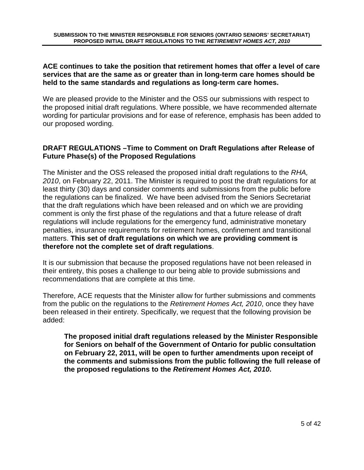#### **ACE continues to take the position that retirement homes that offer a level of care services that are the same as or greater than in long-term care homes should be held to the same standards and regulations as long-term care homes.**

We are pleased provide to the Minister and the OSS our submissions with respect to the proposed initial draft regulations. Where possible, we have recommended alternate wording for particular provisions and for ease of reference, emphasis has been added to our proposed wording.

#### **DRAFT REGULATIONS –Time to Comment on Draft Regulations after Release of Future Phase(s) of the Proposed Regulations**

The Minister and the OSS released the proposed initial draft regulations to the RHA, 2010, on February 22, 2011. The Minister is required to post the draft regulations for at least thirty (30) days and consider comments and submissions from the public before the regulations can be finalized. We have been advised from the Seniors Secretariat that the draft regulations which have been released and on which we are providing comment is only the first phase of the regulations and that a future release of draft regulations will include regulations for the emergency fund, administrative monetary penalties, insurance requirements for retirement homes, confinement and transitional matters. **This set of draft regulations on which we are providing comment is therefore not the complete set of draft regulations**.

It is our submission that because the proposed regulations have not been released in their entirety, this poses a challenge to our being able to provide submissions and recommendations that are complete at this time.

Therefore, ACE requests that the Minister allow for further submissions and comments from the public on the regulations to the Retirement Homes Act, 2010, once they have been released in their entirety. Specifically, we request that the following provision be added:

**The proposed initial draft regulations released by the Minister Responsible for Seniors on behalf of the Government of Ontario for public consultation on February 22, 2011, will be open to further amendments upon receipt of the comments and submissions from the public following the full release of the proposed regulations to the Retirement Homes Act, 2010.**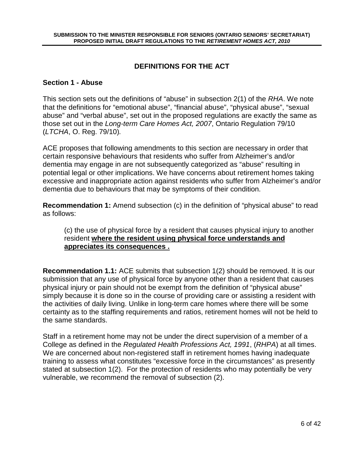# **DEFINITIONS FOR THE ACT**

#### **Section 1 - Abuse**

This section sets out the definitions of "abuse" in subsection 2(1) of the RHA. We note that the definitions for "emotional abuse", "financial abuse", "physical abuse", "sexual abuse" and "verbal abuse", set out in the proposed regulations are exactly the same as those set out in the Long-term Care Homes Act, 2007, Ontario Regulation 79/10 (LTCHA, O. Reg. 79/10).

ACE proposes that following amendments to this section are necessary in order that certain responsive behaviours that residents who suffer from Alzheimer's and/or dementia may engage in are not subsequently categorized as "abuse" resulting in potential legal or other implications. We have concerns about retirement homes taking excessive and inappropriate action against residents who suffer from Alzheimer's and/or dementia due to behaviours that may be symptoms of their condition.

**Recommendation 1:** Amend subsection (c) in the definition of "physical abuse" to read as follows:

#### (c) the use of physical force by a resident that causes physical injury to another resident **where the resident using physical force understands and appreciates its consequences .**

**Recommendation 1.1:** ACE submits that subsection 1(2) should be removed. It is our submission that any use of physical force by anyone other than a resident that causes physical injury or pain should not be exempt from the definition of "physical abuse" simply because it is done so in the course of providing care or assisting a resident with the activities of daily living. Unlike in long-term care homes where there will be some certainty as to the staffing requirements and ratios, retirement homes will not be held to the same standards.

Staff in a retirement home may not be under the direct supervision of a member of a College as defined in the Regulated Health Professions Act, 1991, (RHPA) at all times. We are concerned about non-registered staff in retirement homes having inadequate training to assess what constitutes "excessive force in the circumstances" as presently stated at subsection 1(2). For the protection of residents who may potentially be very vulnerable, we recommend the removal of subsection (2).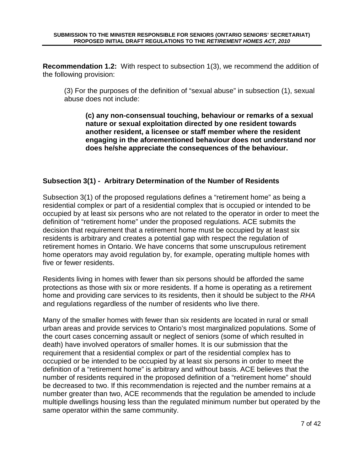**Recommendation 1.2:** With respect to subsection 1(3), we recommend the addition of the following provision:

(3) For the purposes of the definition of "sexual abuse" in subsection (1), sexual abuse does not include:

**(c) any non-consensual touching, behaviour or remarks of a sexual nature or sexual exploitation directed by one resident towards another resident, a licensee or staff member where the resident engaging in the aforementioned behaviour does not understand nor does he/she appreciate the consequences of the behaviour.** 

# **Subsection 3(1) - Arbitrary Determination of the Number of Residents**

Subsection 3(1) of the proposed regulations defines a "retirement home" as being a residential complex or part of a residential complex that is occupied or intended to be occupied by at least six persons who are not related to the operator in order to meet the definition of "retirement home" under the proposed regulations. ACE submits the decision that requirement that a retirement home must be occupied by at least six residents is arbitrary and creates a potential gap with respect the regulation of retirement homes in Ontario. We have concerns that some unscrupulous retirement home operators may avoid regulation by, for example, operating multiple homes with five or fewer residents.

Residents living in homes with fewer than six persons should be afforded the same protections as those with six or more residents. If a home is operating as a retirement home and providing care services to its residents, then it should be subject to the RHA and regulations regardless of the number of residents who live there.

Many of the smaller homes with fewer than six residents are located in rural or small urban areas and provide services to Ontario's most marginalized populations. Some of the court cases concerning assault or neglect of seniors (some of which resulted in death) have involved operators of smaller homes. It is our submission that the requirement that a residential complex or part of the residential complex has to occupied or be intended to be occupied by at least six persons in order to meet the definition of a "retirement home" is arbitrary and without basis. ACE believes that the number of residents required in the proposed definition of a "retirement home" should be decreased to two. If this recommendation is rejected and the number remains at a number greater than two, ACE recommends that the regulation be amended to include multiple dwellings housing less than the regulated minimum number but operated by the same operator within the same community.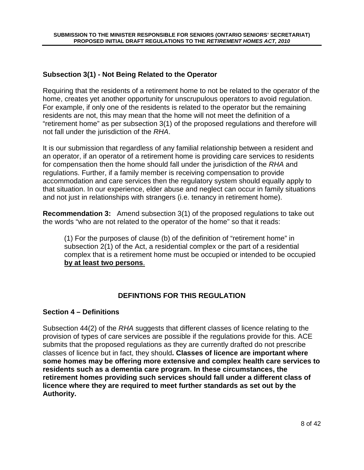#### **Subsection 3(1) - Not Being Related to the Operator**

Requiring that the residents of a retirement home to not be related to the operator of the home, creates yet another opportunity for unscrupulous operators to avoid regulation. For example, if only one of the residents is related to the operator but the remaining residents are not, this may mean that the home will not meet the definition of a "retirement home" as per subsection 3(1) of the proposed regulations and therefore will not fall under the jurisdiction of the RHA.

It is our submission that regardless of any familial relationship between a resident and an operator, if an operator of a retirement home is providing care services to residents for compensation then the home should fall under the jurisdiction of the RHA and regulations. Further, if a family member is receiving compensation to provide accommodation and care services then the regulatory system should equally apply to that situation. In our experience, elder abuse and neglect can occur in family situations and not just in relationships with strangers (i.e. tenancy in retirement home).

**Recommendation 3:** Amend subsection 3(1) of the proposed regulations to take out the words "who are not related to the operator of the home" so that it reads:

(1) For the purposes of clause (b) of the definition of "retirement home" in subsection 2(1) of the Act, a residential complex or the part of a residential complex that is a retirement home must be occupied or intended to be occupied **by at least two persons**.

# **DEFINTIONS FOR THIS REGULATION**

#### **Section 4 – Definitions**

Subsection 44(2) of the RHA suggests that different classes of licence relating to the provision of types of care services are possible if the regulations provide for this. ACE submits that the proposed regulations as they are currently drafted do not prescribe classes of licence but in fact, they should**. Classes of licence are important where some homes may be offering more extensive and complex health care services to residents such as a dementia care program. In these circumstances, the retirement homes providing such services should fall under a different class of licence where they are required to meet further standards as set out by the Authority.**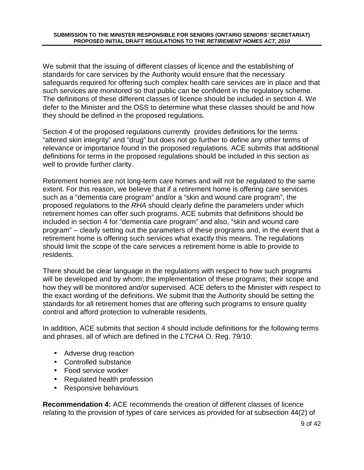We submit that the issuing of different classes of licence and the establishing of standards for care services by the Authority would ensure that the necessary safeguards required for offering such complex health care services are in place and that such services are monitored so that public can be confident in the regulatory scheme. The definitions of these different classes of licence should be included in section 4. We defer to the Minister and the OSS to determine what these classes should be and how they should be defined in the proposed regulations.

Section 4 of the proposed regulations currently provides definitions for the terms "altered skin integrity" and "drug" but does not go further to define any other terms of relevance or importance found in the proposed regulations. ACE submits that additional definitions for terms in the proposed regulations should be included in this section as well to provide further clarity.

Retirement homes are not long-term care homes and will not be regulated to the same extent. For this reason, we believe that if a retirement home is offering care services such as a "dementia care program" and/or a "skin and wound care program", the proposed regulations to the RHA should clearly define the parameters under which retirement homes can offer such programs. ACE submits that definitions should be included in section 4 for "dementia care program" and also, "skin and wound care program" – clearly setting out the parameters of these programs and, in the event that a retirement home is offering such services what exactly this means. The regulations should limit the scope of the care services a retirement home is able to provide to residents.

There should be clear language in the regulations with respect to how such programs will be developed and by whom; the implementation of these programs; their scope and how they will be monitored and/or supervised. ACE defers to the Minister with respect to the exact wording of the definitions. We submit that the Authority should be setting the standards for all retirement homes that are offering such programs to ensure quality control and afford protection to vulnerable residents.

In addition, ACE submits that section 4 should include definitions for the following terms and phrases, all of which are defined in the LTCHA O. Reg. 79/10:

- Adverse drug reaction
- Controlled substance
- Food service worker
- Regulated health profession
- Responsive behaviours

**Recommendation 4:** ACE recommends the creation of different classes of licence relating to the provision of types of care services as provided for at subsection 44(2) of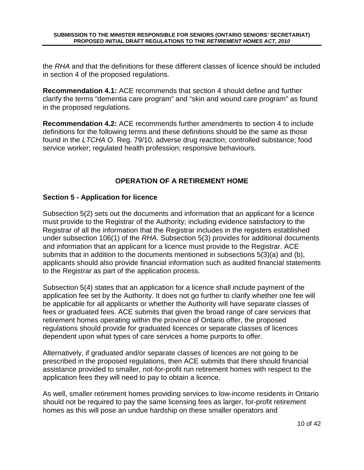the RHA and that the definitions for these different classes of licence should be included in section 4 of the proposed regulations.

**Recommendation 4.1:** ACE recommends that section 4 should define and further clarify the terms "dementia care program" and "skin and wound care program" as found in the proposed regulations.

**Recommendation 4.2:** ACE recommends further amendments to section 4 to include definitions for the following terms and these definitions should be the same as those found in the LTCHA O. Reg. 79/10, adverse drug reaction; controlled substance; food service worker; regulated health profession; responsive behaviours.

# **OPERATION OF A RETIREMENT HOME**

#### **Section 5 - Application for licence**

Subsection 5(2) sets out the documents and information that an applicant for a licence must provide to the Registrar of the Authority; including evidence satisfactory to the Registrar of all the information that the Registrar includes in the registers established under subsection 106(1) of the RHA. Subsection 5(3) provides for additional documents and information that an applicant for a licence must provide to the Registrar. ACE submits that in addition to the documents mentioned in subsections 5(3)(a) and (b), applicants should also provide financial information such as audited financial statements to the Registrar as part of the application process.

Subsection 5(4) states that an application for a licence shall include payment of the application fee set by the Authority. It does not go further to clarify whether one fee will be applicable for all applicants or whether the Authority will have separate classes of fees or graduated fees. ACE submits that given the broad range of care services that retirement homes operating within the province of Ontario offer, the proposed regulations should provide for graduated licences or separate classes of licences dependent upon what types of care services a home purports to offer.

Alternatively, if graduated and/or separate classes of licences are not going to be prescribed in the proposed regulations, then ACE submits that there should financial assistance provided to smaller, not-for-profit run retirement homes with respect to the application fees they will need to pay to obtain a licence.

As well, smaller retirement homes providing services to low-income residents in Ontario should not be required to pay the same licensing fees as larger, for-profit retirement homes as this will pose an undue hardship on these smaller operators and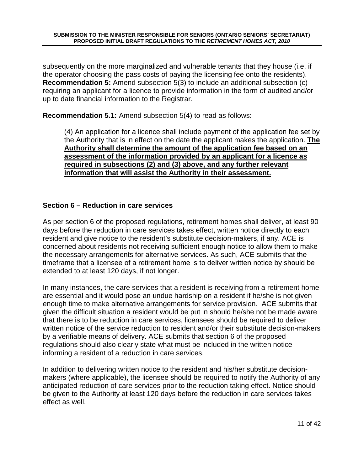subsequently on the more marginalized and vulnerable tenants that they house (i.e. if the operator choosing the pass costs of paying the licensing fee onto the residents). **Recommendation 5:** Amend subsection 5(3) to include an additional subsection (c) requiring an applicant for a licence to provide information in the form of audited and/or up to date financial information to the Registrar.

**Recommendation 5.1:** Amend subsection 5(4) to read as follows:

(4) An application for a licence shall include payment of the application fee set by the Authority that is in effect on the date the applicant makes the application. **The Authority shall determine the amount of the application fee based on an assessment of the information provided by an applicant for a licence as required in subsections (2) and (3) above, and any further relevant information that will assist the Authority in their assessment.** 

#### **Section 6 – Reduction in care services**

As per section 6 of the proposed regulations, retirement homes shall deliver, at least 90 days before the reduction in care services takes effect, written notice directly to each resident and give notice to the resident's substitute decision-makers, if any. ACE is concerned about residents not receiving sufficient enough notice to allow them to make the necessary arrangements for alternative services. As such, ACE submits that the timeframe that a licensee of a retirement home is to deliver written notice by should be extended to at least 120 days, if not longer.

In many instances, the care services that a resident is receiving from a retirement home are essential and it would pose an undue hardship on a resident if he/she is not given enough time to make alternative arrangements for service provision. ACE submits that given the difficult situation a resident would be put in should he/she not be made aware that there is to be reduction in care services, licensees should be required to deliver written notice of the service reduction to resident and/or their substitute decision-makers by a verifiable means of delivery. ACE submits that section 6 of the proposed regulations should also clearly state what must be included in the written notice informing a resident of a reduction in care services.

In addition to delivering written notice to the resident and his/her substitute decisionmakers (where applicable), the licensee should be required to notify the Authority of any anticipated reduction of care services prior to the reduction taking effect. Notice should be given to the Authority at least 120 days before the reduction in care services takes effect as well.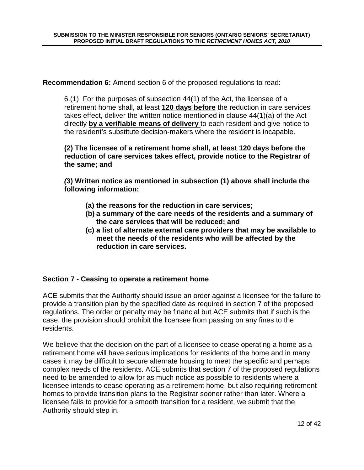**Recommendation 6:** Amend section 6 of the proposed regulations to read:

6.(1) For the purposes of subsection 44(1) of the Act, the licensee of a retirement home shall, at least **120 days before** the reduction in care services takes effect, deliver the written notice mentioned in clause 44(1)(a) of the Act directly **by a verifiable means of delivery** to each resident and give notice to the resident's substitute decision-makers where the resident is incapable.

**(2) The licensee of a retirement home shall, at least 120 days before the reduction of care services takes effect, provide notice to the Registrar of the same; and** 

**(3) Written notice as mentioned in subsection (1) above shall include the following information:** 

- **(a) the reasons for the reduction in care services;**
- **(b) a summary of the care needs of the residents and a summary of the care services that will be reduced; and**
- **(c) a list of alternate external care providers that may be available to meet the needs of the residents who will be affected by the reduction in care services.**

# **Section 7 - Ceasing to operate a retirement home**

ACE submits that the Authority should issue an order against a licensee for the failure to provide a transition plan by the specified date as required in section 7 of the proposed regulations. The order or penalty may be financial but ACE submits that if such is the case, the provision should prohibit the licensee from passing on any fines to the residents.

We believe that the decision on the part of a licensee to cease operating a home as a retirement home will have serious implications for residents of the home and in many cases it may be difficult to secure alternate housing to meet the specific and perhaps complex needs of the residents. ACE submits that section 7 of the proposed regulations need to be amended to allow for as much notice as possible to residents where a licensee intends to cease operating as a retirement home, but also requiring retirement homes to provide transition plans to the Registrar sooner rather than later. Where a licensee fails to provide for a smooth transition for a resident, we submit that the Authority should step in.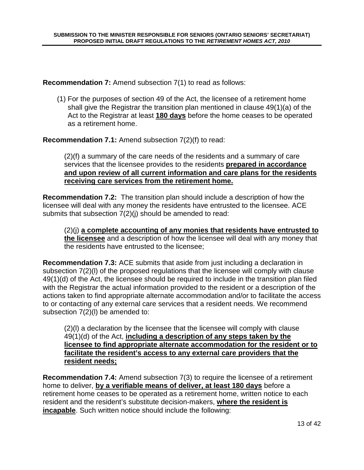**Recommendation 7:** Amend subsection 7(1) to read as follows:

(1) For the purposes of section 49 of the Act, the licensee of a retirement home shall give the Registrar the transition plan mentioned in clause 49(1)(a) of the Act to the Registrar at least **180 days** before the home ceases to be operated as a retirement home.

**Recommendation 7.1:** Amend subsection 7(2)(f) to read:

(2)(f) a summary of the care needs of the residents and a summary of care services that the licensee provides to the residents **prepared in accordance and upon review of all current information and care plans for the residents receiving care services from the retirement home.**

**Recommendation 7.2:** The transition plan should include a description of how the licensee will deal with any money the residents have entrusted to the licensee. ACE submits that subsection 7(2)(j) should be amended to read:

(2)(j) **a complete accounting of any monies that residents have entrusted to the licensee** and a description of how the licensee will deal with any money that the residents have entrusted to the licensee;

**Recommendation 7.3:** ACE submits that aside from just including a declaration in subsection 7(2)(l) of the proposed regulations that the licensee will comply with clause 49(1)(d) of the Act, the licensee should be required to include in the transition plan filed with the Registrar the actual information provided to the resident or a description of the actions taken to find appropriate alternate accommodation and/or to facilitate the access to or contacting of any external care services that a resident needs. We recommend subsection 7(2)(l) be amended to:

(2)(l) a declaration by the licensee that the licensee will comply with clause 49(1)(d) of the Act, **including a description of any steps taken by the licensee to find appropriate alternate accommodation for the resident or to facilitate the resident's access to any external care providers that the resident needs;**

**Recommendation 7.4:** Amend subsection 7(3) to require the licensee of a retirement home to deliver, **by a verifiable means of deliver, at least 180 days** before a retirement home ceases to be operated as a retirement home, written notice to each resident and the resident's substitute decision-makers, **where the resident is incapable**. Such written notice should include the following: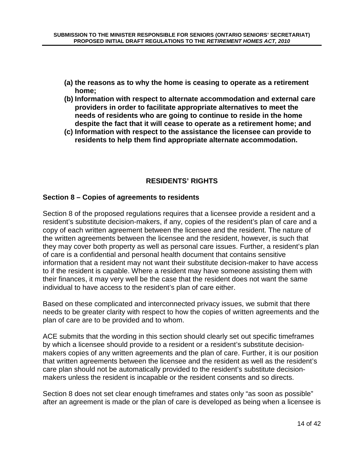- **(a) the reasons as to why the home is ceasing to operate as a retirement home;**
- **(b) Information with respect to alternate accommodation and external care providers in order to facilitate appropriate alternatives to meet the needs of residents who are going to continue to reside in the home despite the fact that it will cease to operate as a retirement home; and**
- **(c) Information with respect to the assistance the licensee can provide to residents to help them find appropriate alternate accommodation.**

# **RESIDENTS' RIGHTS**

#### **Section 8 – Copies of agreements to residents**

Section 8 of the proposed regulations requires that a licensee provide a resident and a resident's substitute decision-makers, if any, copies of the resident's plan of care and a copy of each written agreement between the licensee and the resident. The nature of the written agreements between the licensee and the resident, however, is such that they may cover both property as well as personal care issues. Further, a resident's plan of care is a confidential and personal health document that contains sensitive information that a resident may not want their substitute decision-maker to have access to if the resident is capable. Where a resident may have someone assisting them with their finances, it may very well be the case that the resident does not want the same individual to have access to the resident's plan of care either.

Based on these complicated and interconnected privacy issues, we submit that there needs to be greater clarity with respect to how the copies of written agreements and the plan of care are to be provided and to whom.

ACE submits that the wording in this section should clearly set out specific timeframes by which a licensee should provide to a resident or a resident's substitute decisionmakers copies of any written agreements and the plan of care. Further, it is our position that written agreements between the licensee and the resident as well as the resident's care plan should not be automatically provided to the resident's substitute decisionmakers unless the resident is incapable or the resident consents and so directs.

Section 8 does not set clear enough timeframes and states only "as soon as possible" after an agreement is made or the plan of care is developed as being when a licensee is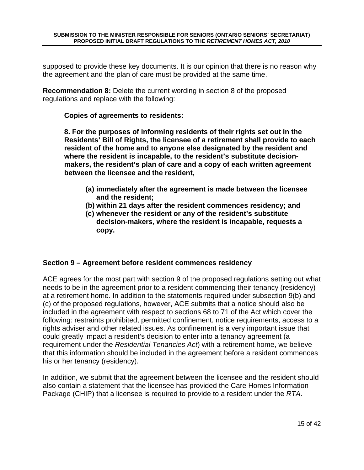supposed to provide these key documents. It is our opinion that there is no reason why the agreement and the plan of care must be provided at the same time.

**Recommendation 8:** Delete the current wording in section 8 of the proposed regulations and replace with the following:

#### **Copies of agreements to residents:**

**8. For the purposes of informing residents of their rights set out in the Residents' Bill of Rights, the licensee of a retirement shall provide to each resident of the home and to anyone else designated by the resident and where the resident is incapable, to the resident's substitute decisionmakers, the resident's plan of care and a copy of each written agreement between the licensee and the resident,** 

- **(a) immediately after the agreement is made between the licensee and the resident;**
- **(b) within 21 days after the resident commences residency; and**
- **(c) whenever the resident or any of the resident's substitute decision-makers, where the resident is incapable, requests a copy.**

#### **Section 9 – Agreement before resident commences residency**

ACE agrees for the most part with section 9 of the proposed regulations setting out what needs to be in the agreement prior to a resident commencing their tenancy (residency) at a retirement home. In addition to the statements required under subsection 9(b) and (c) of the proposed regulations, however, ACE submits that a notice should also be included in the agreement with respect to sections 68 to 71 of the Act which cover the following: restraints prohibited, permitted confinement, notice requirements, access to a rights adviser and other related issues. As confinement is a very important issue that could greatly impact a resident's decision to enter into a tenancy agreement (a requirement under the Residential Tenancies Act) with a retirement home, we believe that this information should be included in the agreement before a resident commences his or her tenancy (residency).

In addition, we submit that the agreement between the licensee and the resident should also contain a statement that the licensee has provided the Care Homes Information Package (CHIP) that a licensee is required to provide to a resident under the RTA.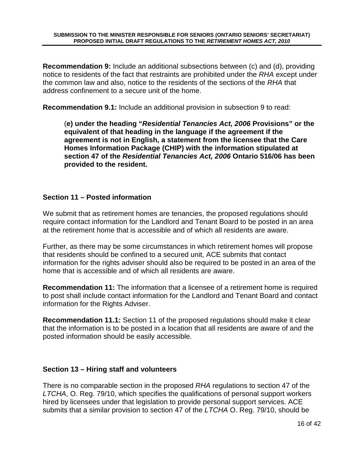**Recommendation 9:** Include an additional subsections between (c) and (d), providing notice to residents of the fact that restraints are prohibited under the RHA except under the common law and also, notice to the residents of the sections of the RHA that address confinement to a secure unit of the home.

**Recommendation 9.1:** Include an additional provision in subsection 9 to read:

(**e) under the heading "Residential Tenancies Act, 2006 Provisions" or the equivalent of that heading in the language if the agreement if the agreement is not in English, a statement from the licensee that the Care Homes Information Package (CHIP) with the information stipulated at section 47 of the Residential Tenancies Act, 2006 Ontario 516/06 has been provided to the resident.** 

#### **Section 11 – Posted information**

We submit that as retirement homes are tenancies, the proposed regulations should require contact information for the Landlord and Tenant Board to be posted in an area at the retirement home that is accessible and of which all residents are aware.

Further, as there may be some circumstances in which retirement homes will propose that residents should be confined to a secured unit, ACE submits that contact information for the rights adviser should also be required to be posted in an area of the home that is accessible and of which all residents are aware.

**Recommendation 11:** The information that a licensee of a retirement home is required to post shall include contact information for the Landlord and Tenant Board and contact information for the Rights Adviser.

**Recommendation 11.1:** Section 11 of the proposed regulations should make it clear that the information is to be posted in a location that all residents are aware of and the posted information should be easily accessible.

# **Section 13 – Hiring staff and volunteers**

There is no comparable section in the proposed RHA regulations to section 47 of the LTCHA, O. Reg. 79/10, which specifies the qualifications of personal support workers hired by licensees under that legislation to provide personal support services. ACE submits that a similar provision to section 47 of the LTCHA O. Reg. 79/10, should be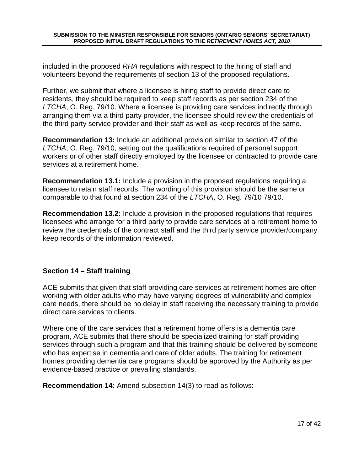included in the proposed RHA regulations with respect to the hiring of staff and volunteers beyond the requirements of section 13 of the proposed regulations.

Further, we submit that where a licensee is hiring staff to provide direct care to residents, they should be required to keep staff records as per section 234 of the LTCHA, O. Reg. 79/10. Where a licensee is providing care services indirectly through arranging them via a third party provider, the licensee should review the credentials of the third party service provider and their staff as well as keep records of the same.

**Recommendation 13:** Include an additional provision similar to section 47 of the LTCHA, O. Reg. 79/10, setting out the qualifications required of personal support workers or of other staff directly employed by the licensee or contracted to provide care services at a retirement home.

**Recommendation 13.1:** Include a provision in the proposed regulations requiring a licensee to retain staff records. The wording of this provision should be the same or comparable to that found at section 234 of the LTCHA, O. Reg. 79/10 79/10.

**Recommendation 13.2:** Include a provision in the proposed regulations that requires licensees who arrange for a third party to provide care services at a retirement home to review the credentials of the contract staff and the third party service provider/company keep records of the information reviewed.

# **Section 14 – Staff training**

ACE submits that given that staff providing care services at retirement homes are often working with older adults who may have varying degrees of vulnerability and complex care needs, there should be no delay in staff receiving the necessary training to provide direct care services to clients.

Where one of the care services that a retirement home offers is a dementia care program, ACE submits that there should be specialized training for staff providing services through such a program and that this training should be delivered by someone who has expertise in dementia and care of older adults. The training for retirement homes providing dementia care programs should be approved by the Authority as per evidence-based practice or prevailing standards.

**Recommendation 14:** Amend subsection 14(3) to read as follows: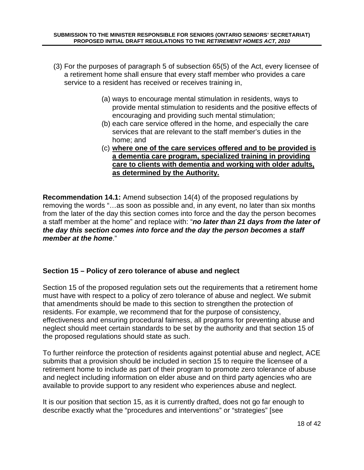- (3) For the purposes of paragraph 5 of subsection 65(5) of the Act, every licensee of a retirement home shall ensure that every staff member who provides a care service to a resident has received or receives training in,
	- (a) ways to encourage mental stimulation in residents, ways to provide mental stimulation to residents and the positive effects of encouraging and providing such mental stimulation;
	- (b) each care service offered in the home, and especially the care services that are relevant to the staff member's duties in the home; and
	- (c) **where one of the care services offered and to be provided is a dementia care program, specialized training in providing care to clients with dementia and working with older adults, as determined by the Authority.**

**Recommendation 14.1:** Amend subsection 14(4) of the proposed regulations by removing the words "…as soon as possible and, in any event, no later than six months from the later of the day this section comes into force and the day the person becomes a staff member at the home" and replace with: "**no later than 21 days from the later of the day this section comes into force and the day the person becomes a staff member at the home**."

# **Section 15 – Policy of zero tolerance of abuse and neglect**

Section 15 of the proposed regulation sets out the requirements that a retirement home must have with respect to a policy of zero tolerance of abuse and neglect. We submit that amendments should be made to this section to strengthen the protection of residents. For example, we recommend that for the purpose of consistency, effectiveness and ensuring procedural fairness, all programs for preventing abuse and neglect should meet certain standards to be set by the authority and that section 15 of the proposed regulations should state as such.

To further reinforce the protection of residents against potential abuse and neglect, ACE submits that a provision should be included in section 15 to require the licensee of a retirement home to include as part of their program to promote zero tolerance of abuse and neglect including information on elder abuse and on third party agencies who are available to provide support to any resident who experiences abuse and neglect.

It is our position that section 15, as it is currently drafted, does not go far enough to describe exactly what the "procedures and interventions" or "strategies" [see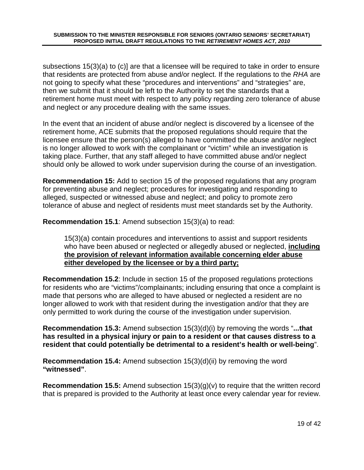subsections 15(3)(a) to (c)] are that a licensee will be required to take in order to ensure that residents are protected from abuse and/or neglect. If the regulations to the RHA are not going to specify what these "procedures and interventions" and "strategies" are, then we submit that it should be left to the Authority to set the standards that a retirement home must meet with respect to any policy regarding zero tolerance of abuse and neglect or any procedure dealing with the same issues.

In the event that an incident of abuse and/or neglect is discovered by a licensee of the retirement home, ACE submits that the proposed regulations should require that the licensee ensure that the person(s) alleged to have committed the abuse and/or neglect is no longer allowed to work with the complainant or "victim" while an investigation is taking place. Further, that any staff alleged to have committed abuse and/or neglect should only be allowed to work under supervision during the course of an investigation.

**Recommendation 15:** Add to section 15 of the proposed regulations that any program for preventing abuse and neglect; procedures for investigating and responding to alleged, suspected or witnessed abuse and neglect; and policy to promote zero tolerance of abuse and neglect of residents must meet standards set by the Authority.

**Recommendation 15.1**: Amend subsection 15(3)(a) to read:

15(3)(a) contain procedures and interventions to assist and support residents who have been abused or neglected or allegedly abused or neglected, **including the provision of relevant information available concerning elder abuse either developed by the licensee or by a third party;** 

**Recommendation 15.2**: Include in section 15 of the proposed regulations protections for residents who are "victims"/complainants; including ensuring that once a complaint is made that persons who are alleged to have abused or neglected a resident are no longer allowed to work with that resident during the investigation and/or that they are only permitted to work during the course of the investigation under supervision.

**Recommendation 15.3:** Amend subsection 15(3)(d)(i) by removing the words "**...that has resulted in a physical injury or pain to a resident or that causes distress to a resident that could potentially be detrimental to a resident's health or well-being**".

**Recommendation 15.4:** Amend subsection 15(3)(d)(ii) by removing the word **"witnessed"**.

**Recommendation 15.5:** Amend subsection 15(3)(g)(v) to require that the written record that is prepared is provided to the Authority at least once every calendar year for review.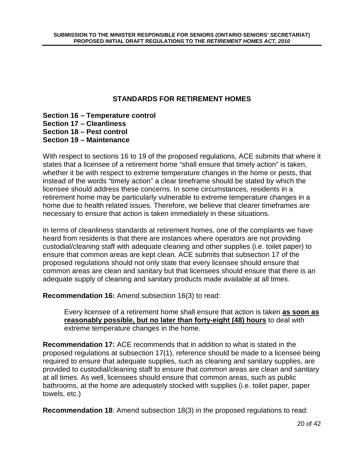# **STANDARDS FOR RETIREMENT HOMES**

**Section 16 – Temperature control Section 17 – Cleanliness Section 18 – Pest control Section 19 – Maintenance** 

With respect to sections 16 to 19 of the proposed regulations, ACE submits that where it states that a licensee of a retirement home "shall ensure that timely action" is taken, whether it be with respect to extreme temperature changes in the home or pests, that instead of the words "timely action" a clear timeframe should be stated by which the licensee should address these concerns. In some circumstances, residents in a retirement home may be particularly vulnerable to extreme temperature changes in a home due to health related issues. Therefore, we believe that clearer timeframes are necessary to ensure that action is taken immediately in these situations.

In terms of cleanliness standards at retirement homes, one of the complaints we have heard from residents is that there are instances where operators are not providing custodial/cleaning staff with adequate cleaning and other supplies (i.e. toilet paper) to ensure that common areas are kept clean. ACE submits that subsection 17 of the proposed regulations should not only state that every licensee should ensure that common areas are clean and sanitary but that licensees should ensure that there is an adequate supply of cleaning and sanitary products made available at all times.

**Recommendation 16:** Amend subsection 16(3) to read:

Every licensee of a retirement home shall ensure that action is taken **as soon as reasonably possible, but no later than forty-eight (48) hours** to deal with extreme temperature changes in the home.

**Recommendation 17:** ACE recommends that in addition to what is stated in the proposed regulations at subsection 17(1), reference should be made to a licensee being required to ensure that adequate supplies, such as cleaning and sanitary supplies, are provided to custodial/cleaning staff to ensure that common areas are clean and sanitary at all times. As well, licensees should ensure that common areas, such as public bathrooms, at the home are adequately stocked with supplies (i.e. toilet paper, paper towels, etc.)

**Recommendation 18**: Amend subsection 18(3) in the proposed regulations to read: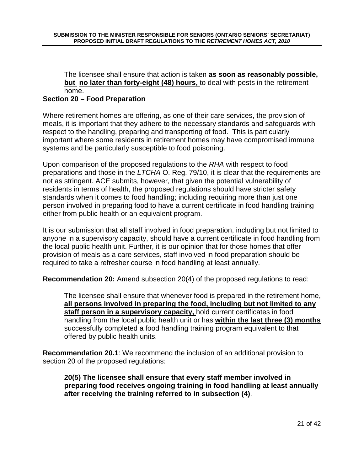#### The licensee shall ensure that action is taken **as soon as reasonably possible, but no later than forty-eight (48) hours,** to deal with pests in the retirement home.

# **Section 20 – Food Preparation**

Where retirement homes are offering, as one of their care services, the provision of meals, it is important that they adhere to the necessary standards and safeguards with respect to the handling, preparing and transporting of food. This is particularly important where some residents in retirement homes may have compromised immune systems and be particularly susceptible to food poisoning.

Upon comparison of the proposed regulations to the RHA with respect to food preparations and those in the LTCHA O. Reg. 79/10, it is clear that the requirements are not as stringent. ACE submits, however, that given the potential vulnerability of residents in terms of health, the proposed regulations should have stricter safety standards when it comes to food handling; including requiring more than just one person involved in preparing food to have a current certificate in food handling training either from public health or an equivalent program.

It is our submission that all staff involved in food preparation, including but not limited to anyone in a supervisory capacity, should have a current certificate in food handling from the local public health unit. Further, it is our opinion that for those homes that offer provision of meals as a care services, staff involved in food preparation should be required to take a refresher course in food handling at least annually.

**Recommendation 20:** Amend subsection 20(4) of the proposed regulations to read:

The licensee shall ensure that whenever food is prepared in the retirement home, **all persons involved in preparing the food, including but not limited to any staff person in a supervisory capacity,** hold current certificates in food handling from the local public health unit or has **within the last three (3) months** successfully completed a food handling training program equivalent to that offered by public health units.

**Recommendation 20.1**: We recommend the inclusion of an additional provision to section 20 of the proposed regulations:

**20(5) The licensee shall ensure that every staff member involved in preparing food receives ongoing training in food handling at least annually after receiving the training referred to in subsection (4)**.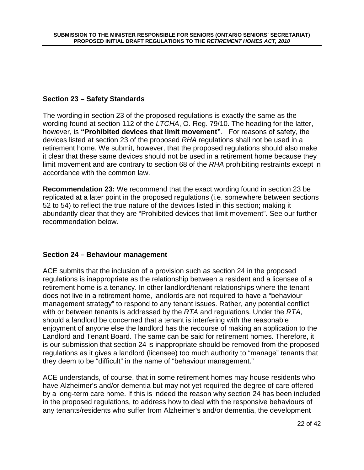# **Section 23 – Safety Standards**

The wording in section 23 of the proposed regulations is exactly the same as the wording found at section 112 of the LTCHA, O. Reg. 79/10. The heading for the latter, however, is **"Prohibited devices that limit movement"**. For reasons of safety, the devices listed at section 23 of the proposed RHA regulations shall not be used in a retirement home. We submit, however, that the proposed regulations should also make it clear that these same devices should not be used in a retirement home because they limit movement and are contrary to section 68 of the RHA prohibiting restraints except in accordance with the common law.

**Recommendation 23:** We recommend that the exact wording found in section 23 be replicated at a later point in the proposed regulations (i.e. somewhere between sections 52 to 54) to reflect the true nature of the devices listed in this section; making it abundantly clear that they are "Prohibited devices that limit movement". See our further recommendation below.

#### **Section 24 – Behaviour management**

ACE submits that the inclusion of a provision such as section 24 in the proposed regulations is inappropriate as the relationship between a resident and a licensee of a retirement home is a tenancy. In other landlord/tenant relationships where the tenant does not live in a retirement home, landlords are not required to have a "behaviour management strategy" to respond to any tenant issues. Rather, any potential conflict with or between tenants is addressed by the RTA and regulations. Under the RTA, should a landlord be concerned that a tenant is interfering with the reasonable enjoyment of anyone else the landlord has the recourse of making an application to the Landlord and Tenant Board. The same can be said for retirement homes. Therefore, it is our submission that section 24 is inappropriate should be removed from the proposed regulations as it gives a landlord (licensee) too much authority to "manage" tenants that they deem to be "difficult" in the name of "behaviour management."

ACE understands, of course, that in some retirement homes may house residents who have Alzheimer's and/or dementia but may not yet required the degree of care offered by a long-term care home. If this is indeed the reason why section 24 has been included in the proposed regulations, to address how to deal with the responsive behaviours of any tenants/residents who suffer from Alzheimer's and/or dementia, the development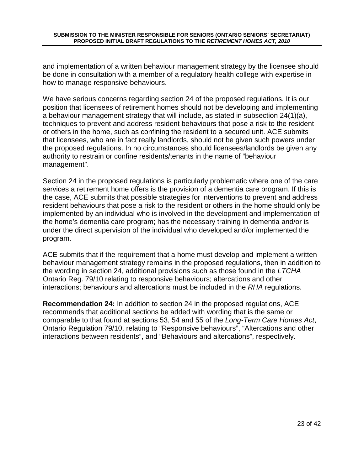and implementation of a written behaviour management strategy by the licensee should be done in consultation with a member of a regulatory health college with expertise in how to manage responsive behaviours.

We have serious concerns regarding section 24 of the proposed regulations. It is our position that licensees of retirement homes should not be developing and implementing a behaviour management strategy that will include, as stated in subsection 24(1)(a), techniques to prevent and address resident behaviours that pose a risk to the resident or others in the home, such as confining the resident to a secured unit. ACE submits that licensees, who are in fact really landlords, should not be given such powers under the proposed regulations. In no circumstances should licensees/landlords be given any authority to restrain or confine residents/tenants in the name of "behaviour management".

Section 24 in the proposed regulations is particularly problematic where one of the care services a retirement home offers is the provision of a dementia care program. If this is the case, ACE submits that possible strategies for interventions to prevent and address resident behaviours that pose a risk to the resident or others in the home should only be implemented by an individual who is involved in the development and implementation of the home's dementia care program; has the necessary training in dementia and/or is under the direct supervision of the individual who developed and/or implemented the program.

ACE submits that if the requirement that a home must develop and implement a written behaviour management strategy remains in the proposed regulations, then in addition to the wording in section 24, additional provisions such as those found in the LTCHA Ontario Reg. 79/10 relating to responsive behaviours; altercations and other interactions; behaviours and altercations must be included in the RHA regulations.

**Recommendation 24:** In addition to section 24 in the proposed regulations, ACE recommends that additional sections be added with wording that is the same or comparable to that found at sections 53, 54 and 55 of the Long-Term Care Homes Act, Ontario Regulation 79/10, relating to "Responsive behaviours", "Altercations and other interactions between residents", and "Behaviours and altercations", respectively.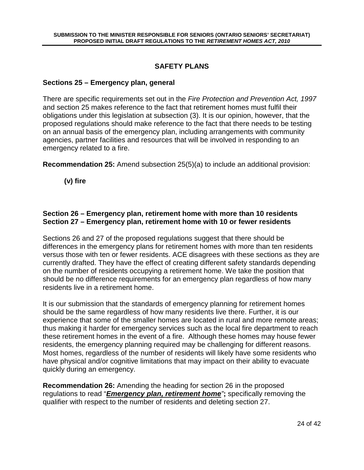# **SAFETY PLANS**

#### **Sections 25 – Emergency plan, general**

There are specific requirements set out in the Fire Protection and Prevention Act, 1997 and section 25 makes reference to the fact that retirement homes must fulfil their obligations under this legislation at subsection (3). It is our opinion, however, that the proposed regulations should make reference to the fact that there needs to be testing on an annual basis of the emergency plan, including arrangements with community agencies, partner facilities and resources that will be involved in responding to an emergency related to a fire.

**Recommendation 25:** Amend subsection 25(5)(a) to include an additional provision:

**(v) fire** 

#### **Section 26 – Emergency plan, retirement home with more than 10 residents Section 27 – Emergency plan, retirement home with 10 or fewer residents**

Sections 26 and 27 of the proposed regulations suggest that there should be differences in the emergency plans for retirement homes with more than ten residents versus those with ten or fewer residents. ACE disagrees with these sections as they are currently drafted. They have the effect of creating different safety standards depending on the number of residents occupying a retirement home. We take the position that should be no difference requirements for an emergency plan regardless of how many residents live in a retirement home.

It is our submission that the standards of emergency planning for retirement homes should be the same regardless of how many residents live there. Further, it is our experience that some of the smaller homes are located in rural and more remote areas; thus making it harder for emergency services such as the local fire department to reach these retirement homes in the event of a fire. Although these homes may house fewer residents, the emergency planning required may be challenging for different reasons. Most homes, regardless of the number of residents will likely have some residents who have physical and/or cognitive limitations that may impact on their ability to evacuate quickly during an emergency.

**Recommendation 26:** Amending the heading for section 26 in the proposed regulations to read "**Emergency plan, retirement home**"**;** specifically removing the qualifier with respect to the number of residents and deleting section 27.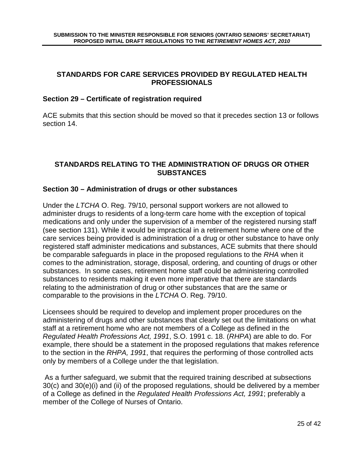#### **STANDARDS FOR CARE SERVICES PROVIDED BY REGULATED HEALTH PROFESSIONALS**

#### **Section 29 – Certificate of registration required**

ACE submits that this section should be moved so that it precedes section 13 or follows section 14.

#### **STANDARDS RELATING TO THE ADMINISTRATION OF DRUGS OR OTHER SUBSTANCES**

#### **Section 30 – Administration of drugs or other substances**

Under the LTCHA O. Reg. 79/10, personal support workers are not allowed to administer drugs to residents of a long-term care home with the exception of topical medications and only under the supervision of a member of the registered nursing staff (see section 131). While it would be impractical in a retirement home where one of the care services being provided is administration of a drug or other substance to have only registered staff administer medications and substances, ACE submits that there should be comparable safeguards in place in the proposed regulations to the RHA when it comes to the administration, storage, disposal, ordering, and counting of drugs or other substances. In some cases, retirement home staff could be administering controlled substances to residents making it even more imperative that there are standards relating to the administration of drug or other substances that are the same or comparable to the provisions in the LTCHA O. Reg. 79/10.

Licensees should be required to develop and implement proper procedures on the administering of drugs and other substances that clearly set out the limitations on what staff at a retirement home who are not members of a College as defined in the Regulated Health Professions Act, 1991, S.O. 1991 c. 18. (RHPA) are able to do. For example, there should be a statement in the proposed regulations that makes reference to the section in the RHPA, 1991, that requires the performing of those controlled acts only by members of a College under the that legislation.

 As a further safeguard, we submit that the required training described at subsections 30(c) and 30(e)(i) and (ii) of the proposed regulations, should be delivered by a member of a College as defined in the Regulated Health Professions Act, 1991; preferably a member of the College of Nurses of Ontario.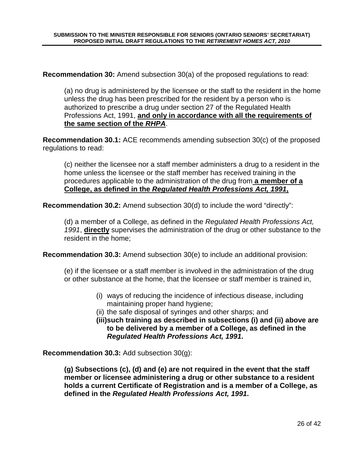**Recommendation 30:** Amend subsection 30(a) of the proposed regulations to read:

(a) no drug is administered by the licensee or the staff to the resident in the home unless the drug has been prescribed for the resident by a person who is authorized to prescribe a drug under section 27 of the Regulated Health Professions Act, 1991, **and only in accordance with all the requirements of the same section of the RHPA**.

**Recommendation 30.1:** ACE recommends amending subsection 30(c) of the proposed regulations to read:

(c) neither the licensee nor a staff member administers a drug to a resident in the home unless the licensee or the staff member has received training in the procedures applicable to the administration of the drug from **a member of a College, as defined in the Regulated Health Professions Act, 1991,**

**Recommendation 30.2:** Amend subsection 30(d) to include the word "directly":

(d) a member of a College, as defined in the Regulated Health Professions Act, 1991, **directly** supervises the administration of the drug or other substance to the resident in the home;

**Recommendation 30.3:** Amend subsection 30(e) to include an additional provision:

(e) if the licensee or a staff member is involved in the administration of the drug or other substance at the home, that the licensee or staff member is trained in,

- (i) ways of reducing the incidence of infectious disease, including maintaining proper hand hygiene;
- (ii) the safe disposal of syringes and other sharps; and
- **(iii)such training as described in subsections (i) and (ii) above are to be delivered by a member of a College, as defined in the Regulated Health Professions Act, 1991.**

**Recommendation 30.3:** Add subsection 30(g):

**(g) Subsections (c), (d) and (e) are not required in the event that the staff member or licensee administering a drug or other substance to a resident holds a current Certificate of Registration and is a member of a College, as defined in the Regulated Health Professions Act, 1991.**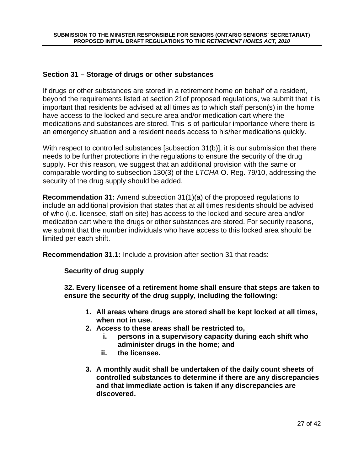#### **Section 31 – Storage of drugs or other substances**

If drugs or other substances are stored in a retirement home on behalf of a resident, beyond the requirements listed at section 21of proposed regulations, we submit that it is important that residents be advised at all times as to which staff person(s) in the home have access to the locked and secure area and/or medication cart where the medications and substances are stored. This is of particular importance where there is an emergency situation and a resident needs access to his/her medications quickly.

With respect to controlled substances [subsection 31(b)], it is our submission that there needs to be further protections in the regulations to ensure the security of the drug supply. For this reason, we suggest that an additional provision with the same or comparable wording to subsection 130(3) of the LTCHA O. Reg. 79/10, addressing the security of the drug supply should be added.

**Recommendation 31:** Amend subsection 31(1)(a) of the proposed regulations to include an additional provision that states that at all times residents should be advised of who (i.e. licensee, staff on site) has access to the locked and secure area and/or medication cart where the drugs or other substances are stored. For security reasons, we submit that the number individuals who have access to this locked area should be limited per each shift.

**Recommendation 31.1:** Include a provision after section 31 that reads:

**Security of drug supply** 

**32. Every licensee of a retirement home shall ensure that steps are taken to ensure the security of the drug supply, including the following:** 

- **1. All areas where drugs are stored shall be kept locked at all times, when not in use.**
- **2. Access to these areas shall be restricted to,** 
	- **i. persons in a supervisory capacity during each shift who administer drugs in the home; and**
	- **ii. the licensee.**
- **3. A monthly audit shall be undertaken of the daily count sheets of controlled substances to determine if there are any discrepancies and that immediate action is taken if any discrepancies are discovered.**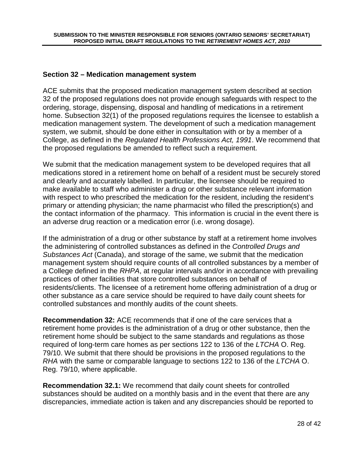#### **Section 32 – Medication management system**

ACE submits that the proposed medication management system described at section 32 of the proposed regulations does not provide enough safeguards with respect to the ordering, storage, dispensing, disposal and handling of medications in a retirement home. Subsection 32(1) of the proposed regulations requires the licensee to establish a medication management system. The development of such a medication management system, we submit, should be done either in consultation with or by a member of a College, as defined in the Regulated Health Professions Act, 1991. We recommend that the proposed regulations be amended to reflect such a requirement.

We submit that the medication management system to be developed requires that all medications stored in a retirement home on behalf of a resident must be securely stored and clearly and accurately labelled. In particular, the licensee should be required to make available to staff who administer a drug or other substance relevant information with respect to who prescribed the medication for the resident, including the resident's primary or attending physician; the name pharmacist who filled the prescription(s) and the contact information of the pharmacy. This information is crucial in the event there is an adverse drug reaction or a medication error (i.e. wrong dosage).

If the administration of a drug or other substance by staff at a retirement home involves the administering of controlled substances as defined in the Controlled Drugs and Substances Act (Canada), and storage of the same, we submit that the medication management system should require counts of all controlled substances by a member of a College defined in the RHPA, at regular intervals and/or in accordance with prevailing practices of other facilities that store controlled substances on behalf of residents/clients. The licensee of a retirement home offering administration of a drug or other substance as a care service should be required to have daily count sheets for controlled substances and monthly audits of the count sheets.

**Recommendation 32:** ACE recommends that if one of the care services that a retirement home provides is the administration of a drug or other substance, then the retirement home should be subject to the same standards and regulations as those required of long-term care homes as per sections 122 to 136 of the LTCHA O. Reg. 79/10. We submit that there should be provisions in the proposed regulations to the RHA with the same or comparable language to sections 122 to 136 of the LTCHA O. Reg. 79/10, where applicable.

**Recommendation 32.1:** We recommend that daily count sheets for controlled substances should be audited on a monthly basis and in the event that there are any discrepancies, immediate action is taken and any discrepancies should be reported to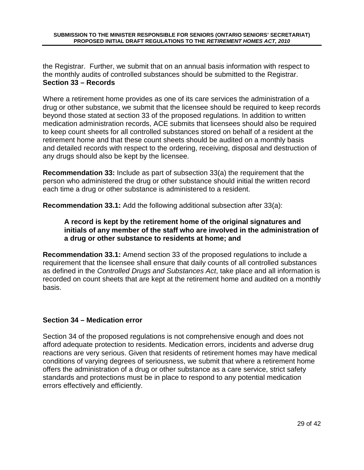the Registrar. Further, we submit that on an annual basis information with respect to the monthly audits of controlled substances should be submitted to the Registrar. **Section 33 – Records** 

Where a retirement home provides as one of its care services the administration of a drug or other substance, we submit that the licensee should be required to keep records beyond those stated at section 33 of the proposed regulations. In addition to written medication administration records, ACE submits that licensees should also be required to keep count sheets for all controlled substances stored on behalf of a resident at the retirement home and that these count sheets should be audited on a monthly basis and detailed records with respect to the ordering, receiving, disposal and destruction of any drugs should also be kept by the licensee.

**Recommendation 33:** Include as part of subsection 33(a) the requirement that the person who administered the drug or other substance should initial the written record each time a drug or other substance is administered to a resident.

**Recommendation 33.1:** Add the following additional subsection after 33(a):

#### **A record is kept by the retirement home of the original signatures and initials of any member of the staff who are involved in the administration of a drug or other substance to residents at home; and**

**Recommendation 33.1:** Amend section 33 of the proposed regulations to include a requirement that the licensee shall ensure that daily counts of all controlled substances as defined in the Controlled Drugs and Substances Act, take place and all information is recorded on count sheets that are kept at the retirement home and audited on a monthly basis.

# **Section 34 – Medication error**

Section 34 of the proposed regulations is not comprehensive enough and does not afford adequate protection to residents. Medication errors, incidents and adverse drug reactions are very serious. Given that residents of retirement homes may have medical conditions of varying degrees of seriousness, we submit that where a retirement home offers the administration of a drug or other substance as a care service, strict safety standards and protections must be in place to respond to any potential medication errors effectively and efficiently.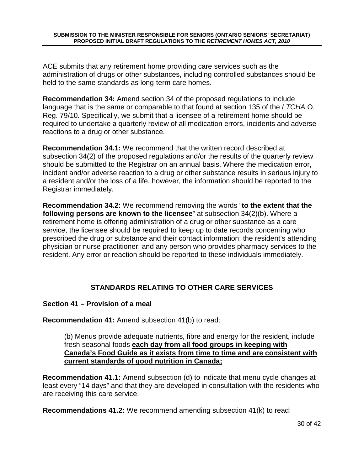ACE submits that any retirement home providing care services such as the administration of drugs or other substances, including controlled substances should be held to the same standards as long-term care homes.

**Recommendation 34:** Amend section 34 of the proposed regulations to include language that is the same or comparable to that found at section 135 of the LTCHA O. Reg. 79/10. Specifically, we submit that a licensee of a retirement home should be required to undertake a quarterly review of all medication errors, incidents and adverse reactions to a drug or other substance.

**Recommendation 34.1:** We recommend that the written record described at subsection 34(2) of the proposed regulations and/or the results of the quarterly review should be submitted to the Registrar on an annual basis. Where the medication error, incident and/or adverse reaction to a drug or other substance results in serious injury to a resident and/or the loss of a life, however, the information should be reported to the Registrar immediately.

**Recommendation 34.2:** We recommend removing the words "**to the extent that the following persons are known to the licensee**" at subsection 34(2)(b). Where a retirement home is offering administration of a drug or other substance as a care service, the licensee should be required to keep up to date records concerning who prescribed the drug or substance and their contact information; the resident's attending physician or nurse practitioner; and any person who provides pharmacy services to the resident. Any error or reaction should be reported to these individuals immediately.

# **STANDARDS RELATING TO OTHER CARE SERVICES**

# **Section 41 – Provision of a meal**

**Recommendation 41:** Amend subsection 41(b) to read:

(b) Menus provide adequate nutrients, fibre and energy for the resident, include fresh seasonal foods **each day from all food groups in keeping with Canada's Food Guide as it exists from time to time and are consistent with current standards of good nutrition in Canada;** 

**Recommendation 41.1:** Amend subsection (d) to indicate that menu cycle changes at least every "14 days" and that they are developed in consultation with the residents who are receiving this care service.

**Recommendations 41.2:** We recommend amending subsection 41(k) to read: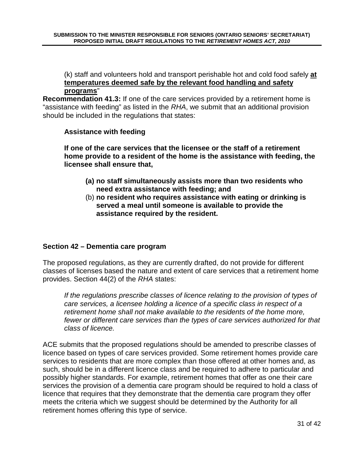(k) staff and volunteers hold and transport perishable hot and cold food safely **at temperatures deemed safe by the relevant food handling and safety programs**"

**Recommendation 41.3:** If one of the care services provided by a retirement home is "assistance with feeding" as listed in the RHA, we submit that an additional provision should be included in the regulations that states:

#### **Assistance with feeding**

**If one of the care services that the licensee or the staff of a retirement home provide to a resident of the home is the assistance with feeding, the licensee shall ensure that,** 

- **(a) no staff simultaneously assists more than two residents who need extra assistance with feeding; and**
- (b) **no resident who requires assistance with eating or drinking is served a meal until someone is available to provide the assistance required by the resident.**

# **Section 42 – Dementia care program**

The proposed regulations, as they are currently drafted, do not provide for different classes of licenses based the nature and extent of care services that a retirement home provides. Section 44(2) of the RHA states:

If the regulations prescribe classes of licence relating to the provision of types of care services, a licensee holding a licence of a specific class in respect of a retirement home shall not make available to the residents of the home more, fewer or different care services than the types of care services authorized for that class of licence.

ACE submits that the proposed regulations should be amended to prescribe classes of licence based on types of care services provided. Some retirement homes provide care services to residents that are more complex than those offered at other homes and, as such, should be in a different licence class and be required to adhere to particular and possibly higher standards. For example, retirement homes that offer as one their care services the provision of a dementia care program should be required to hold a class of licence that requires that they demonstrate that the dementia care program they offer meets the criteria which we suggest should be determined by the Authority for all retirement homes offering this type of service.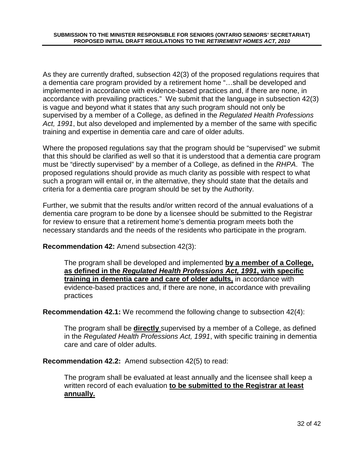As they are currently drafted, subsection 42(3) of the proposed regulations requires that a dementia care program provided by a retirement home "…shall be developed and implemented in accordance with evidence-based practices and, if there are none, in accordance with prevailing practices." We submit that the language in subsection 42(3) is vague and beyond what it states that any such program should not only be supervised by a member of a College, as defined in the Regulated Health Professions Act, 1991, but also developed and implemented by a member of the same with specific training and expertise in dementia care and care of older adults.

Where the proposed regulations say that the program should be "supervised" we submit that this should be clarified as well so that it is understood that a dementia care program must be "directly supervised" by a member of a College, as defined in the RHPA. The proposed regulations should provide as much clarity as possible with respect to what such a program will entail or, in the alternative, they should state that the details and criteria for a dementia care program should be set by the Authority.

Further, we submit that the results and/or written record of the annual evaluations of a dementia care program to be done by a licensee should be submitted to the Registrar for review to ensure that a retirement home's dementia program meets both the necessary standards and the needs of the residents who participate in the program.

**Recommendation 42:** Amend subsection 42(3):

The program shall be developed and implemented **by a member of a College, as defined in the Regulated Health Professions Act, 1991, with specific training in dementia care and care of older adults,** in accordance with evidence-based practices and, if there are none, in accordance with prevailing practices

**Recommendation 42.1:** We recommend the following change to subsection 42(4):

The program shall be **directly** supervised by a member of a College, as defined in the Regulated Health Professions Act, 1991, with specific training in dementia care and care of older adults.

**Recommendation 42.2:** Amend subsection 42(5) to read:

The program shall be evaluated at least annually and the licensee shall keep a written record of each evaluation **to be submitted to the Registrar at least annually.**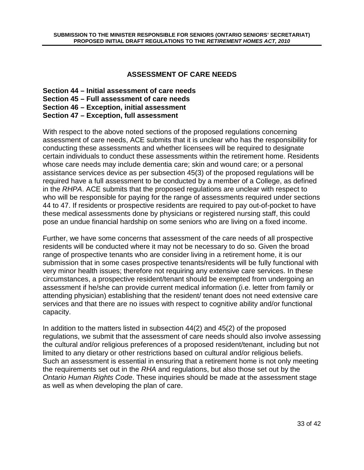#### **ASSESSMENT OF CARE NEEDS**

- **Section 44 Initial assessment of care needs**
- **Section 45 Full assessment of care needs**
- **Section 46 Exception, initial assessment**
- **Section 47 Exception, full assessment**

With respect to the above noted sections of the proposed regulations concerning assessment of care needs, ACE submits that it is unclear who has the responsibility for conducting these assessments and whether licensees will be required to designate certain individuals to conduct these assessments within the retirement home. Residents whose care needs may include dementia care; skin and wound care; or a personal assistance services device as per subsection 45(3) of the proposed regulations will be required have a full assessment to be conducted by a member of a College, as defined in the RHPA. ACE submits that the proposed regulations are unclear with respect to who will be responsible for paying for the range of assessments required under sections 44 to 47. If residents or prospective residents are required to pay out-of-pocket to have these medical assessments done by physicians or registered nursing staff, this could pose an undue financial hardship on some seniors who are living on a fixed income.

Further, we have some concerns that assessment of the care needs of all prospective residents will be conducted where it may not be necessary to do so. Given the broad range of prospective tenants who are consider living in a retirement home, it is our submission that in some cases prospective tenants/residents will be fully functional with very minor health issues; therefore not requiring any extensive care services. In these circumstances, a prospective resident/tenant should be exempted from undergoing an assessment if he/she can provide current medical information (i.e. letter from family or attending physician) establishing that the resident/ tenant does not need extensive care services and that there are no issues with respect to cognitive ability and/or functional capacity.

In addition to the matters listed in subsection 44(2) and 45(2) of the proposed regulations, we submit that the assessment of care needs should also involve assessing the cultural and/or religious preferences of a proposed resident/tenant, including but not limited to any dietary or other restrictions based on cultural and/or religious beliefs. Such an assessment is essential in ensuring that a retirement home is not only meeting the requirements set out in the RHA and regulations, but also those set out by the Ontario Human Rights Code. These inquiries should be made at the assessment stage as well as when developing the plan of care.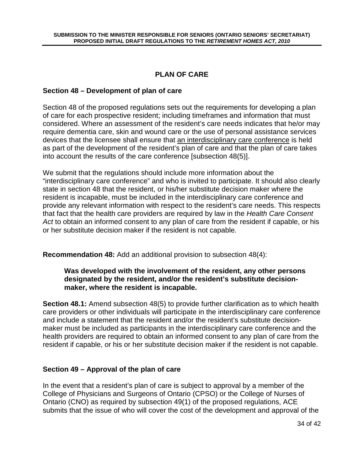# **PLAN OF CARE**

#### **Section 48 – Development of plan of care**

Section 48 of the proposed regulations sets out the requirements for developing a plan of care for each prospective resident; including timeframes and information that must considered. Where an assessment of the resident's care needs indicates that he/or may require dementia care, skin and wound care or the use of personal assistance services devices that the licensee shall ensure that an interdisciplinary care conference is held as part of the development of the resident's plan of care and that the plan of care takes into account the results of the care conference [subsection 48(5)].

We submit that the regulations should include more information about the "interdisciplinary care conference" and who is invited to participate. It should also clearly state in section 48 that the resident, or his/her substitute decision maker where the resident is incapable, must be included in the interdisciplinary care conference and provide any relevant information with respect to the resident's care needs. This respects that fact that the health care providers are required by law in the Health Care Consent Act to obtain an informed consent to any plan of care from the resident if capable, or his or her substitute decision maker if the resident is not capable.

**Recommendation 48:** Add an additional provision to subsection 48(4):

#### **Was developed with the involvement of the resident, any other persons designated by the resident, and/or the resident's substitute decisionmaker, where the resident is incapable.**

**Section 48.1:** Amend subsection 48(5) to provide further clarification as to which health care providers or other individuals will participate in the interdisciplinary care conference and include a statement that the resident and/or the resident's substitute decisionmaker must be included as participants in the interdisciplinary care conference and the health providers are required to obtain an informed consent to any plan of care from the resident if capable, or his or her substitute decision maker if the resident is not capable.

# **Section 49 – Approval of the plan of care**

In the event that a resident's plan of care is subject to approval by a member of the College of Physicians and Surgeons of Ontario (CPSO) or the College of Nurses of Ontario (CNO) as required by subsection 49(1) of the proposed regulations, ACE submits that the issue of who will cover the cost of the development and approval of the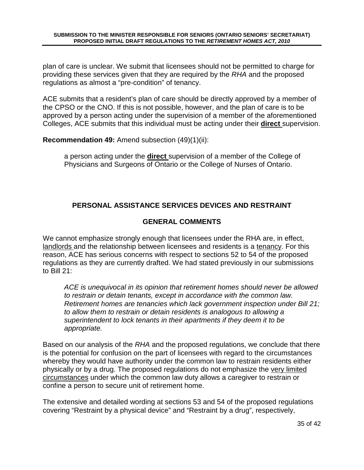plan of care is unclear. We submit that licensees should not be permitted to charge for providing these services given that they are required by the RHA and the proposed regulations as almost a "pre-condition" of tenancy.

ACE submits that a resident's plan of care should be directly approved by a member of the CPSO or the CNO. If this is not possible, however, and the plan of care is to be approved by a person acting under the supervision of a member of the aforementioned Colleges, ACE submits that this individual must be acting under their **direct** supervision.

**Recommendation 49:** Amend subsection (49)(1)(ii):

a person acting under the **direct** supervision of a member of the College of Physicians and Surgeons of Ontario or the College of Nurses of Ontario.

# **PERSONAL ASSISTANCE SERVICES DEVICES AND RESTRAINT**

# **GENERAL COMMENTS**

We cannot emphasize strongly enough that licensees under the RHA are, in effect, landlords and the relationship between licensees and residents is a tenancy. For this reason, ACE has serious concerns with respect to sections 52 to 54 of the proposed regulations as they are currently drafted. We had stated previously in our submissions to Bill 21:

ACE is unequivocal in its opinion that retirement homes should never be allowed to restrain or detain tenants, except in accordance with the common law. Retirement homes are tenancies which lack government inspection under Bill 21; to allow them to restrain or detain residents is analogous to allowing a superintendent to lock tenants in their apartments if they deem it to be appropriate.

Based on our analysis of the RHA and the proposed regulations, we conclude that there is the potential for confusion on the part of licensees with regard to the circumstances whereby they would have authority under the common law to restrain residents either physically or by a drug. The proposed regulations do not emphasize the very limited circumstances under which the common law duty allows a caregiver to restrain or confine a person to secure unit of retirement home.

The extensive and detailed wording at sections 53 and 54 of the proposed regulations covering "Restraint by a physical device" and "Restraint by a drug", respectively,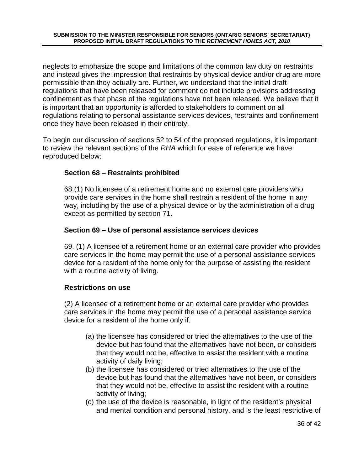neglects to emphasize the scope and limitations of the common law duty on restraints and instead gives the impression that restraints by physical device and/or drug are more permissible than they actually are. Further, we understand that the initial draft regulations that have been released for comment do not include provisions addressing confinement as that phase of the regulations have not been released. We believe that it is important that an opportunity is afforded to stakeholders to comment on all regulations relating to personal assistance services devices, restraints and confinement once they have been released in their entirety.

To begin our discussion of sections 52 to 54 of the proposed regulations, it is important to review the relevant sections of the RHA which for ease of reference we have reproduced below:

# **Section 68 – Restraints prohibited**

68.(1) No licensee of a retirement home and no external care providers who provide care services in the home shall restrain a resident of the home in any way, including by the use of a physical device or by the administration of a drug except as permitted by section 71.

# **Section 69 – Use of personal assistance services devices**

69. (1) A licensee of a retirement home or an external care provider who provides care services in the home may permit the use of a personal assistance services device for a resident of the home only for the purpose of assisting the resident with a routine activity of living.

#### **Restrictions on use**

(2) A licensee of a retirement home or an external care provider who provides care services in the home may permit the use of a personal assistance service device for a resident of the home only if,

- (a) the licensee has considered or tried the alternatives to the use of the device but has found that the alternatives have not been, or considers that they would not be, effective to assist the resident with a routine activity of daily living;
- (b) the licensee has considered or tried alternatives to the use of the device but has found that the alternatives have not been, or considers that they would not be, effective to assist the resident with a routine activity of living;
- (c) the use of the device is reasonable, in light of the resident's physical and mental condition and personal history, and is the least restrictive of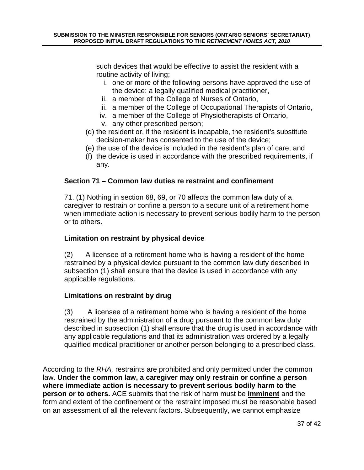such devices that would be effective to assist the resident with a routine activity of living;

- i. one or more of the following persons have approved the use of the device: a legally qualified medical practitioner,
- ii. a member of the College of Nurses of Ontario,
- iii. a member of the College of Occupational Therapists of Ontario,
- iv. a member of the College of Physiotherapists of Ontario,
- v. any other prescribed person;
- (d) the resident or, if the resident is incapable, the resident's substitute decision-maker has consented to the use of the device;
- (e) the use of the device is included in the resident's plan of care; and
- (f) the device is used in accordance with the prescribed requirements, if any.

# **Section 71 – Common law duties re restraint and confinement**

71. (1) Nothing in section 68, 69, or 70 affects the common law duty of a caregiver to restrain or confine a person to a secure unit of a retirement home when immediate action is necessary to prevent serious bodily harm to the person or to others.

# **Limitation on restraint by physical device**

(2) A licensee of a retirement home who is having a resident of the home restrained by a physical device pursuant to the common law duty described in subsection (1) shall ensure that the device is used in accordance with any applicable regulations.

# **Limitations on restraint by drug**

(3) A licensee of a retirement home who is having a resident of the home restrained by the administration of a drug pursuant to the common law duty described in subsection (1) shall ensure that the drug is used in accordance with any applicable regulations and that its administration was ordered by a legally qualified medical practitioner or another person belonging to a prescribed class.

According to the RHA, restraints are prohibited and only permitted under the common law. **Under the common law, a caregiver may only restrain or confine a person where immediate action is necessary to prevent serious bodily harm to the person or to others.** ACE submits that the risk of harm must be **imminent** and the form and extent of the confinement or the restraint imposed must be reasonable based on an assessment of all the relevant factors. Subsequently, we cannot emphasize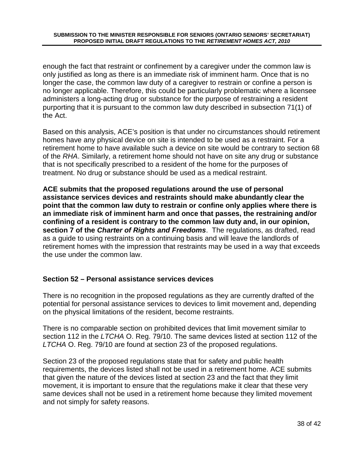enough the fact that restraint or confinement by a caregiver under the common law is only justified as long as there is an immediate risk of imminent harm. Once that is no longer the case, the common law duty of a caregiver to restrain or confine a person is no longer applicable. Therefore, this could be particularly problematic where a licensee administers a long-acting drug or substance for the purpose of restraining a resident purporting that it is pursuant to the common law duty described in subsection 71(1) of the Act.

Based on this analysis, ACE's position is that under no circumstances should retirement homes have any physical device on site is intended to be used as a restraint. For a retirement home to have available such a device on site would be contrary to section 68 of the RHA. Similarly, a retirement home should not have on site any drug or substance that is not specifically prescribed to a resident of the home for the purposes of treatment. No drug or substance should be used as a medical restraint.

**ACE submits that the proposed regulations around the use of personal assistance services devices and restraints should make abundantly clear the point that the common law duty to restrain or confine only applies where there is an immediate risk of imminent harm and once that passes, the restraining and/or confining of a resident is contrary to the common law duty and, in our opinion, section 7 of the Charter of Rights and Freedoms**. The regulations, as drafted, read as a guide to using restraints on a continuing basis and will leave the landlords of retirement homes with the impression that restraints may be used in a way that exceeds the use under the common law.

# **Section 52 – Personal assistance services devices**

There is no recognition in the proposed regulations as they are currently drafted of the potential for personal assistance services to devices to limit movement and, depending on the physical limitations of the resident, become restraints.

There is no comparable section on prohibited devices that limit movement similar to section 112 in the LTCHA O. Reg. 79/10. The same devices listed at section 112 of the LTCHA O. Reg. 79/10 are found at section 23 of the proposed regulations.

Section 23 of the proposed regulations state that for safety and public health requirements, the devices listed shall not be used in a retirement home. ACE submits that given the nature of the devices listed at section 23 and the fact that they limit movement, it is important to ensure that the regulations make it clear that these very same devices shall not be used in a retirement home because they limited movement and not simply for safety reasons.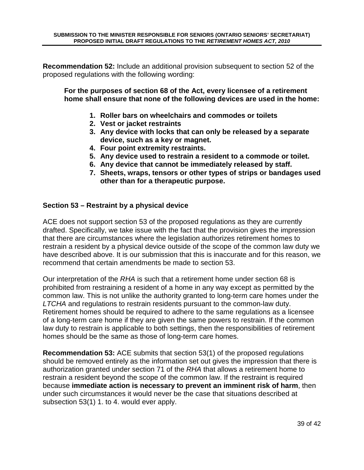**Recommendation 52:** Include an additional provision subsequent to section 52 of the proposed regulations with the following wording:

**For the purposes of section 68 of the Act, every licensee of a retirement home shall ensure that none of the following devices are used in the home:** 

- **1. Roller bars on wheelchairs and commodes or toilets**
- **2. Vest or jacket restraints**
- **3. Any device with locks that can only be released by a separate device, such as a key or magnet.**
- **4. Four point extremity restraints.**
- **5. Any device used to restrain a resident to a commode or toilet.**
- **6. Any device that cannot be immediately released by staff.**
- **7. Sheets, wraps, tensors or other types of strips or bandages used other than for a therapeutic purpose.**

#### **Section 53 – Restraint by a physical device**

ACE does not support section 53 of the proposed regulations as they are currently drafted. Specifically, we take issue with the fact that the provision gives the impression that there are circumstances where the legislation authorizes retirement homes to restrain a resident by a physical device outside of the scope of the common law duty we have described above. It is our submission that this is inaccurate and for this reason, we recommend that certain amendments be made to section 53.

Our interpretation of the RHA is such that a retirement home under section 68 is prohibited from restraining a resident of a home in any way except as permitted by the common law. This is not unlike the authority granted to long-term care homes under the LTCHA and regulations to restrain residents pursuant to the common-law duty. Retirement homes should be required to adhere to the same regulations as a licensee of a long-term care home if they are given the same powers to restrain. If the common law duty to restrain is applicable to both settings, then the responsibilities of retirement homes should be the same as those of long-term care homes.

**Recommendation 53:** ACE submits that section 53(1) of the proposed regulations should be removed entirely as the information set out gives the impression that there is authorization granted under section 71 of the RHA that allows a retirement home to restrain a resident beyond the scope of the common law. If the restraint is required because **immediate action is necessary to prevent an imminent risk of harm**, then under such circumstances it would never be the case that situations described at subsection 53(1) 1. to 4. would ever apply.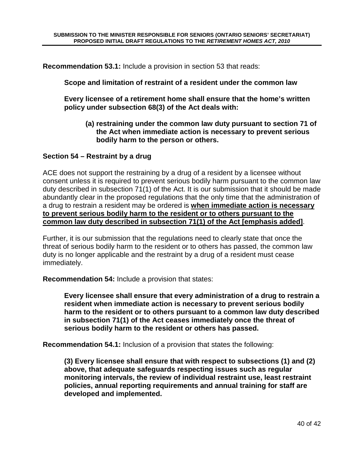**Recommendation 53.1:** Include a provision in section 53 that reads:

**Scope and limitation of restraint of a resident under the common law** 

**Every licensee of a retirement home shall ensure that the home's written policy under subsection 68(3) of the Act deals with:** 

**(a) restraining under the common law duty pursuant to section 71 of the Act when immediate action is necessary to prevent serious bodily harm to the person or others.** 

#### **Section 54 – Restraint by a drug**

ACE does not support the restraining by a drug of a resident by a licensee without consent unless it is required to prevent serious bodily harm pursuant to the common law duty described in subsection 71(1) of the Act. It is our submission that it should be made abundantly clear in the proposed regulations that the only time that the administration of a drug to restrain a resident may be ordered is **when immediate action is necessary to prevent serious bodily harm to the resident or to others pursuant to the common law duty described in subsection 71(1) of the Act [emphasis added]**.

Further, it is our submission that the regulations need to clearly state that once the threat of serious bodily harm to the resident or to others has passed, the common law duty is no longer applicable and the restraint by a drug of a resident must cease immediately.

**Recommendation 54:** Include a provision that states:

**Every licensee shall ensure that every administration of a drug to restrain a resident when immediate action is necessary to prevent serious bodily harm to the resident or to others pursuant to a common law duty described in subsection 71(1) of the Act ceases immediately once the threat of serious bodily harm to the resident or others has passed.** 

**Recommendation 54.1:** Inclusion of a provision that states the following:

**(3) Every licensee shall ensure that with respect to subsections (1) and (2) above, that adequate safeguards respecting issues such as regular monitoring intervals, the review of individual restraint use, least restraint policies, annual reporting requirements and annual training for staff are developed and implemented.**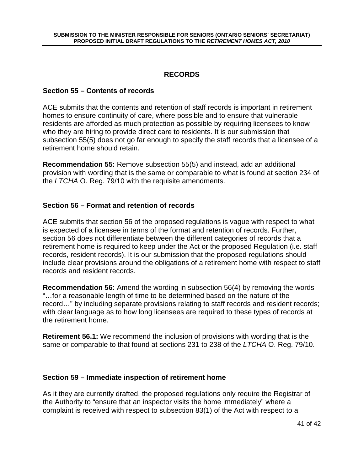# **RECORDS**

#### **Section 55 – Contents of records**

ACE submits that the contents and retention of staff records is important in retirement homes to ensure continuity of care, where possible and to ensure that vulnerable residents are afforded as much protection as possible by requiring licensees to know who they are hiring to provide direct care to residents. It is our submission that subsection 55(5) does not go far enough to specify the staff records that a licensee of a retirement home should retain.

**Recommendation 55:** Remove subsection 55(5) and instead, add an additional provision with wording that is the same or comparable to what is found at section 234 of the LTCHA O. Reg. 79/10 with the requisite amendments.

#### **Section 56 – Format and retention of records**

ACE submits that section 56 of the proposed regulations is vague with respect to what is expected of a licensee in terms of the format and retention of records. Further, section 56 does not differentiate between the different categories of records that a retirement home is required to keep under the Act or the proposed Regulation (i.e. staff records, resident records). It is our submission that the proposed regulations should include clear provisions around the obligations of a retirement home with respect to staff records and resident records.

**Recommendation 56:** Amend the wording in subsection 56(4) by removing the words "…for a reasonable length of time to be determined based on the nature of the record…" by including separate provisions relating to staff records and resident records; with clear language as to how long licensees are required to these types of records at the retirement home.

**Retirement 56.1:** We recommend the inclusion of provisions with wording that is the same or comparable to that found at sections 231 to 238 of the LTCHA O. Reg. 79/10.

#### **Section 59 – Immediate inspection of retirement home**

As it they are currently drafted, the proposed regulations only require the Registrar of the Authority to "ensure that an inspector visits the home immediately" where a complaint is received with respect to subsection 83(1) of the Act with respect to a